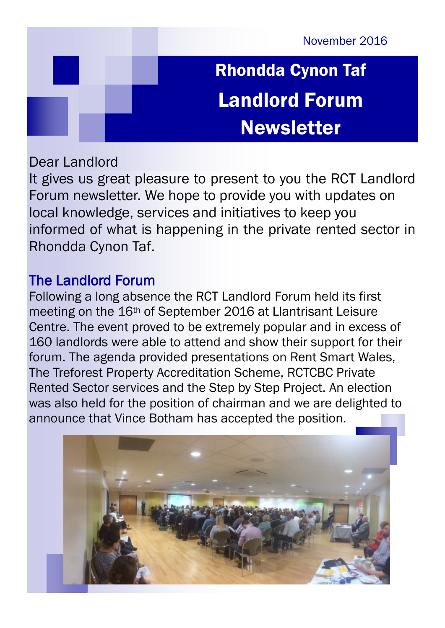November 2016

# Rhondda Cynon Taf Landlord Forum Newsletter

### Dear Landlord

It gives us great pleasure to present to you the RCT Landlord Forum newsletter. We hope to provide you with updates on local knowledge, services and initiatives to keep you informed of what is happening in the private rented sector in Rhondda Cynon Taf.

### The Landlord Forum

Following a long absence the RCT Landlord Forum held its first meeting on the 16th of September 2016 at Llantrisant Leisure Centre. The event proved to be extremely popular and in excess of 160 landlords were able to attend and show their support for their forum. The agenda provided presentations on Rent Smart Wales, The Treforest Property Accreditation Scheme, RCTCBC Private Rented Sector services and the Step by Step Project. An election was also held for the position of chairman and we are delighted to announce that Vince Botham has accepted the position.

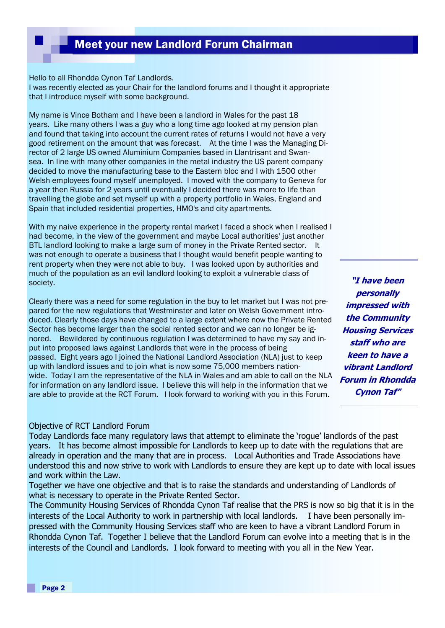### Meet your new Landlord Forum Chairman

Hello to all Rhondda Cynon Taf Landlords.

I was recently elected as your Chair for the landlord forums and I thought it appropriate that I introduce myself with some background.

My name is Vince Botham and I have been a landlord in Wales for the past 18 years. Like many others I was a guy who a long time ago looked at my pension plan and found that taking into account the current rates of returns I would not have a very good retirement on the amount that was forecast. At the time I was the Managing Director of 2 large US owned Aluminium Companies based in Llantrisant and Swansea. In line with many other companies in the metal industry the US parent company decided to move the manufacturing base to the Eastern bloc and I with 1500 other Welsh employees found myself unemployed. I moved with the company to Geneva for a year then Russia for 2 years until eventually I decided there was more to life than travelling the globe and set myself up with a property portfolio in Wales, England and Spain that included residential properties, HMO's and city apartments.

With my naive experience in the property rental market I faced a shock when I realised I had become, in the view of the government and maybe Local authorities' just another BTL landlord looking to make a large sum of money in the Private Rented sector. It was not enough to operate a business that I thought would benefit people wanting to rent property when they were not able to buy. I was looked upon by authorities and much of the population as an evil landlord looking to exploit a vulnerable class of society.

Clearly there was a need for some regulation in the buy to let market but I was not prepared for the new regulations that Westminster and later on Welsh Government introduced. Clearly those days have changed to a large extent where now the Private Rented Sector has become larger than the social rented sector and we can no longer be ignored. Bewildered by continuous regulation I was determined to have my say and input into proposed laws against Landlords that were in the process of being passed. Eight years ago I joined the National Landlord Association (NLA) just to keep up with landlord issues and to join what is now some 75,000 members nationwide. Today I am the representative of the NLA in Wales and am able to call on the NLA for information on any landlord issue. I believe this will help in the information that we are able to provide at the RCT Forum. I look forward to working with you in this Forum.

#### Objective of RCT Landlord Forum

Today Landlords face many regulatory laws that attempt to eliminate the 'rogue' landlords of the past years. It has become almost impossible for Landlords to keep up to date with the regulations that are already in operation and the many that are in process. Local Authorities and Trade Associations have understood this and now strive to work with Landlords to ensure they are kept up to date with local issues and work within the Law.

Together we have one objective and that is to raise the standards and understanding of Landlords of what is necessary to operate in the Private Rented Sector.

The Community Housing Services of Rhondda Cynon Taf realise that the PRS is now so big that it is in the interests of the Local Authority to work in partnership with local landlords. I have been personally impressed with the Community Housing Services staff who are keen to have a vibrant Landlord Forum in Rhondda Cynon Taf. Together I believe that the Landlord Forum can evolve into a meeting that is in the interests of the Council and Landlords. I look forward to meeting with you all in the New Year.

**"I have been personally impressed with the Community Housing Services staff who are keen to have a vibrant Landlord Forum in Rhondda Cynon Taf"**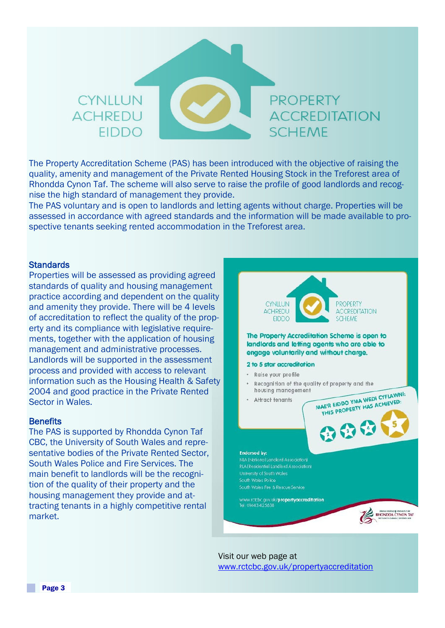### **CYNITUN PROPERTY** ACHREDU **ACCREDITATION SCHEME FIDDO**

The Property Accreditation Scheme (PAS) has been introduced with the objective of raising the quality, amenity and management of the Private Rented Housing Stock in the Treforest area of Rhondda Cynon Taf. The scheme will also serve to raise the profile of good landlords and recognise the high standard of management they provide.

The PAS voluntary and is open to landlords and letting agents without charge. Properties will be assessed in accordance with agreed standards and the information will be made available to prospective tenants seeking rented accommodation in the Treforest area.

#### **Standards**

Properties will be assessed as providing agreed standards of quality and housing management practice according and dependent on the quality and amenity they provide. There will be 4 levels of accreditation to reflect the quality of the property and its compliance with legislative requirements, together with the application of housing management and administrative processes. Landlords will be supported in the assessment process and provided with access to relevant information such as the Housing Health & Safety 2004 and good practice in the Private Rented Sector in Wales.

#### **Benefits**

The PAS is supported by Rhondda Cynon Taf CBC, the University of South Wales and representative bodies of the Private Rented Sector, South Wales Police and Fire Services. The main benefit to landlords will be the recognition of the quality of their property and the housing management they provide and attracting tenants in a highly competitive rental market.



Visit our web page at [www.rctcbc.gov.uk/propertyaccreditation](http://www.rctcbc.gov.uk/propertyaccreditation)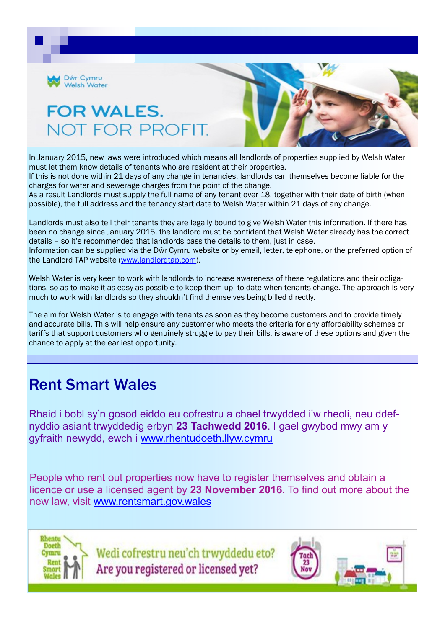

# **FOR WALES.** NOT FOR PROFI



In January 2015, new laws were introduced which means all landlords of properties supplied by Welsh Water must let them know details of tenants who are resident at their properties.

If this is not done within 21 days of any change in tenancies, landlords can themselves become liable for the charges for water and sewerage charges from the point of the change.

As a result Landlords must supply the full name of any tenant over 18, together with their date of birth (when possible), the full address and the tenancy start date to Welsh Water within 21 days of any change.

Landlords must also tell their tenants they are legally bound to give Welsh Water this information. If there has been no change since January 2015, the landlord must be confident that Welsh Water already has the correct details – so it's recommended that landlords pass the details to them, just in case. Information can be supplied via the Dŵr Cymru website or by email, letter, telephone, or the preferred option of the Landlord TAP website ([www.landlordtap.com\).](http://www.landlordtap.com)

Welsh Water is very keen to work with landlords to increase awareness of these regulations and their obligations, so as to make it as easy as possible to keep them up- to-date when tenants change. The approach is very much to work with landlords so they shouldn't find themselves being billed directly.

The aim for Welsh Water is to engage with tenants as soon as they become customers and to provide timely and accurate bills. This will help ensure any customer who meets the criteria for any affordability schemes or tariffs that support customers who genuinely struggle to pay their bills, is aware of these options and given the chance to apply at the earliest opportunity.

### Rent Smart Wales

Rhaid i bobl sy'n gosod eiddo eu cofrestru a chael trwydded i'w rheoli, neu ddefnyddio asiant trwyddedig erbyn **23 Tachwedd 2016**. I gael gwybod mwy am y gyfraith newydd, ewch i [www.rhentudoeth.llyw.cymru](http://www.rhentudoeth.llyw.cymru/)

People who rent out properties now have to register themselves and obtain a licence or use a licensed agent by **23 November 2016**. To find out more about the new law, visit [www.rentsmart.gov.wales](http://www.rentsmart.gov.wales/)



Wedi cofrestru neu'ch trwyddedu eto? Are you registered or licensed yet?